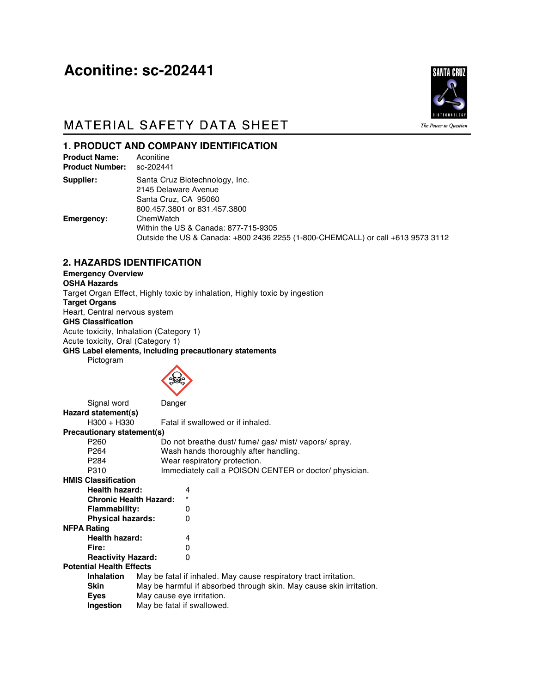# Aconitine: sc-202441



# MATERIAL SAFETY DATA SHEET

**1. PRODUCT AND COMPANY IDENTIFICATION** 

| <b>Product Name:</b><br><b>Product Number:</b> | Aconitine<br>sc-202441                                                                                                               |
|------------------------------------------------|--------------------------------------------------------------------------------------------------------------------------------------|
| Supplier:                                      | Santa Cruz Biotechnology, Inc.<br>2145 Delaware Avenue<br>Santa Cruz, CA 95060<br>800.457.3801 or 831.457.3800                       |
| Emergency:                                     | ChemWatch<br>Within the US & Canada: 877-715-9305<br>Outside the US & Canada: +800 2436 2255 (1-800-CHEMCALL) or call +613 9573 3112 |

### **2. HAZARDS IDENTIFICATION**

**Emergency Overview OSHA Hazards** Target Organ Effect, Highly toxic by inhalation, Highly toxic by ingestion **Target Organs** Heart, Central nervous system **GHS Classification** Acute toxicity, Inhalation (Category 1) Acute toxicity, Oral (Category 1) **GHS Label elements, including precautionary statements** Pictogram



| Signal word                     | Danger                                                              |  |  |  |  |
|---------------------------------|---------------------------------------------------------------------|--|--|--|--|
| Hazard statement(s)             |                                                                     |  |  |  |  |
| H300 + H330                     | Fatal if swallowed or if inhaled.                                   |  |  |  |  |
| Precautionary statement(s)      |                                                                     |  |  |  |  |
| P <sub>260</sub>                | Do not breathe dust/ fume/ gas/ mist/ vapors/ spray.                |  |  |  |  |
| P <sub>264</sub>                | Wash hands thoroughly after handling.                               |  |  |  |  |
| P <sub>284</sub>                | Wear respiratory protection.                                        |  |  |  |  |
| P310                            | Immediately call a POISON CENTER or doctor/ physician.              |  |  |  |  |
| <b>HMIS Classification</b>      |                                                                     |  |  |  |  |
| <b>Health hazard:</b>           | 4                                                                   |  |  |  |  |
|                                 | <b>Chronic Health Hazard:</b>                                       |  |  |  |  |
| <b>Flammability:</b>            | 0                                                                   |  |  |  |  |
| <b>Physical hazards:</b>        | 0                                                                   |  |  |  |  |
| <b>NFPA Rating</b>              |                                                                     |  |  |  |  |
| <b>Health hazard:</b>           | 4                                                                   |  |  |  |  |
| Fire:                           | 0                                                                   |  |  |  |  |
| <b>Reactivity Hazard:</b>       | 0                                                                   |  |  |  |  |
| <b>Potential Health Effects</b> |                                                                     |  |  |  |  |
| <b>Inhalation</b>               | May be fatal if inhaled. May cause respiratory tract irritation.    |  |  |  |  |
| <b>Skin</b>                     | May be harmful if absorbed through skin. May cause skin irritation. |  |  |  |  |
| Eyes                            | May cause eye irritation.                                           |  |  |  |  |
| Ingestion                       | May be fatal if swallowed.                                          |  |  |  |  |
|                                 |                                                                     |  |  |  |  |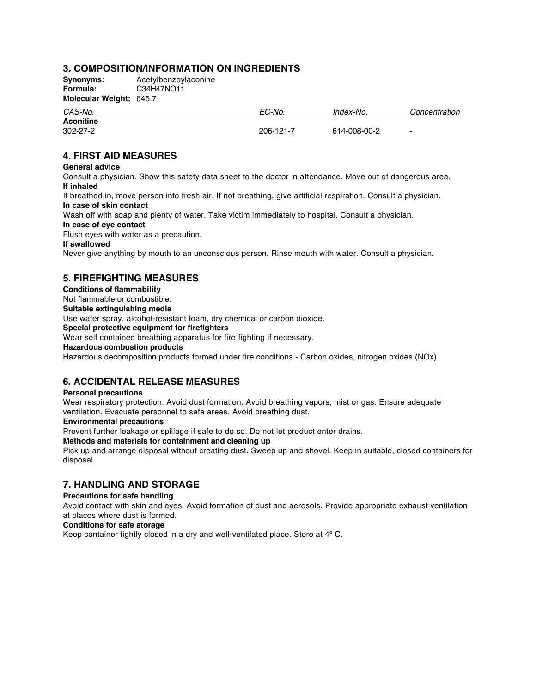### **3. COMPOSITION/INFORMATION ON INGREDIENTS**

**Synonyms:** Acetylbenzoylaconine<br> **Formula:** C34H47NO11 **Formula:** C34H47NO11 **Molecular Weight:** 645.7

| . .            |           | Index-No.    | Concentration  |
|----------------|-----------|--------------|----------------|
| CAS-No.        | EC-No.    |              |                |
| Aconitine      |           |              |                |
| $302 - 27 - 2$ | 206-121-7 | 614-008-00-2 | $\blacksquare$ |

### **4. FIRST AID MEASURES**

#### **General advice**

Consult a physician. Show this safety data sheet to the doctor in attendance. Move out of dangerous area. **If inhaled**

If breathed in, move person into fresh air. If not breathing, give artificial respiration. Consult a physician. **In case of skin contact**

Wash off with soap and plenty of water. Take victim immediately to hospital. Consult a physician.

#### **In case of eye contact**

Flush eyes with water as a precaution.

#### **If swallowed**

Never give anything by mouth to an unconscious person. Rinse mouth with water. Consult a physician.

### **5. FIREFIGHTING MEASURES**

### **Conditions of flammability**

Not flammable or combustible. **Suitable extinguishing media**

Use water spray, alcohol-resistant foam, dry chemical or carbon dioxide.

**Special protective equipment for firefighters**

Wear self contained breathing apparatus for fire fighting if necessary.

#### **Hazardous combustion products**

Hazardous decomposition products formed under fire conditions - Carbon oxides, nitrogen oxides (NOx)

### **6. ACCIDENTAL RELEASE MEASURES**

#### **Personal precautions**

Wear respiratory protection. Avoid dust formation. Avoid breathing vapors, mist or gas. Ensure adequate ventilation. Evacuate personnel to safe areas. Avoid breathing dust.

#### **Environmental precautions**

Prevent further leakage or spillage if safe to do so. Do not let product enter drains.

#### **Methods and materials for containment and cleaning up**

Pick up and arrange disposal without creating dust. Sweep up and shovel. Keep in suitable, closed containers for disposal.

### **7. HANDLING AND STORAGE**

#### **Precautions for safe handling**

Avoid contact with skin and eyes. Avoid formation of dust and aerosols. Provide appropriate exhaust ventilation at places where dust is formed.

#### **Conditions for safe storage**

Keep container tightly closed in a dry and well-ventilated place. Store at 4º C.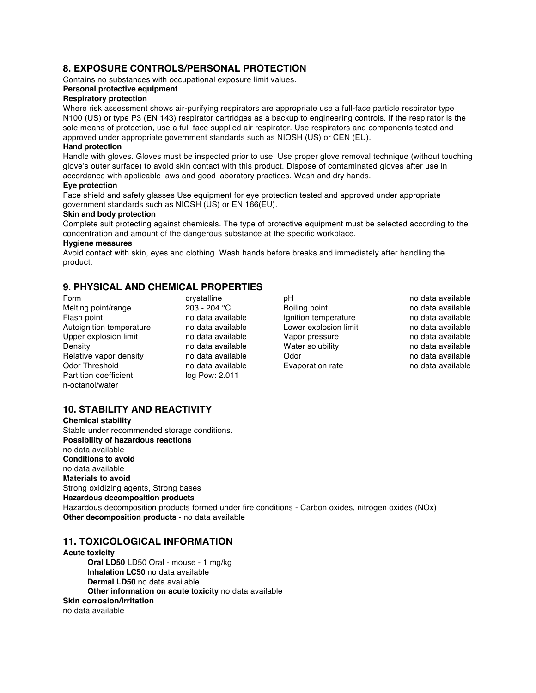### **8. EXPOSURE CONTROLS/PERSONAL PROTECTION**

Contains no substances with occupational exposure limit values.

#### **Personal protective equipment**

#### **Respiratory protection**

Where risk assessment shows air-purifying respirators are appropriate use a full-face particle respirator type N100 (US) or type P3 (EN 143) respirator cartridges as a backup to engineering controls. If the respirator is the sole means of protection, use a full-face supplied air respirator. Use respirators and components tested and approved under appropriate government standards such as NIOSH (US) or CEN (EU).

#### **Hand protection**

Handle with gloves. Gloves must be inspected prior to use. Use proper glove removal technique (without touching glove's outer surface) to avoid skin contact with this product. Dispose of contaminated gloves after use in accordance with applicable laws and good laboratory practices. Wash and dry hands.

#### **Eye protection**

Face shield and safety glasses Use equipment for eye protection tested and approved under appropriate government standards such as NIOSH (US) or EN 166(EU).

#### **Skin and body protection**

Complete suit protecting against chemicals. The type of protective equipment must be selected according to the concentration and amount of the dangerous substance at the specific workplace.

#### **Hygiene measures**

Avoid contact with skin, eyes and clothing. Wash hands before breaks and immediately after handling the product.

### **9. PHYSICAL AND CHEMICAL PROPERTIES**

Form crystalline pH phps of the data available pH<br>
Melting point/range 203 - 204 °C Boiling point communicate available Melting point/range <br>
Flash point available ho data available ho data available ho data available ho data available ho data available Autoignition temperature and data available<br>
Upper explosion limit and ata available<br>
Upper explosion limit and ata available<br>
Upper explosion limit Upper explosion limit  $\begin{array}{ccc}\n\text{Do data available} \\
\text{One} \\
\text{One} \\
\text{One} \\
\text{One} \\
\text{One} \\
\text{One} \\
\text{One} \\
\text{One} \\
\text{One} \\
\text{One} \\
\text{One} \\
\text{One} \\
\text{One} \\
\text{One} \\
\text{One} \\
\text{One} \\
\text{One} \\
\text{One} \\
\text{One} \\
\text{One} \\
\text{One} \\
\text{One} \\
\text{One} \\
\text{One} \\
\text{One} \\
\text{One} \\
\text{One} \\
\text{One} \\
\text{One} \\
\text{One} \\
\text{$ Density **Density** no data available Relative vapor density and data available odor on the control of the modata available of the Odor no data available odor no data available of Cyapania available of Cyapania available of Cyapania available of Cyapania avail Partition coefficient n-octanol/water

no data available **Evaporation rate** no data available **Evaporation rate** 

Flata available and temperature Ignition temperature in the data available no data available no data available

### **10. STABILITY AND REACTIVITY**

**Chemical stability** Stable under recommended storage conditions. **Possibility of hazardous reactions** no data available **Conditions to avoid** no data available **Materials to avoid** Strong oxidizing agents, Strong bases **Hazardous decomposition products** Hazardous decomposition products formed under fire conditions - Carbon oxides, nitrogen oxides (NOx) **Other decomposition products** - no data available

#### **11. TOXICOLOGICAL INFORMATION**

**Acute toxicity Oral LD50** LD50 Oral - mouse - 1 mg/kg **Inhalation LC50** no data available **Dermal LD50** no data available **Other information on acute toxicity** no data available **Skin corrosion/irritation** no data available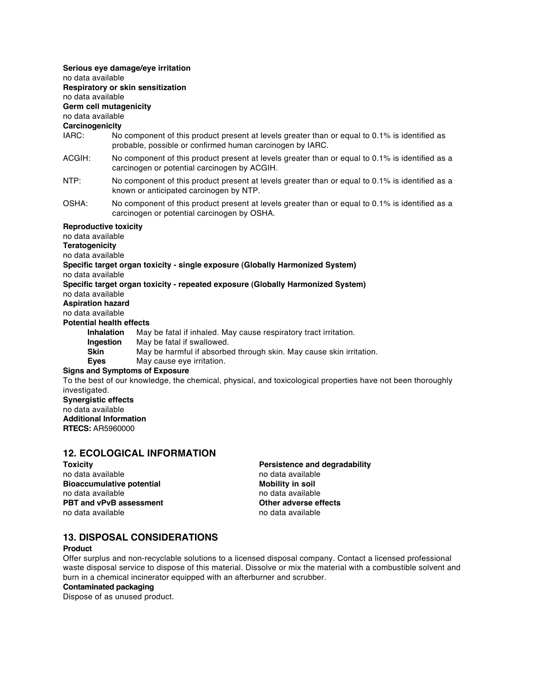#### **Serious eye damage/eye irritation**

no data available

### **Respiratory or skin sensitization**

no data available

## **Germ cell mutagenicity**

no data available

### **Carcinogenicity**

- IARC: No component of this product present at levels greater than or equal to 0.1% is identified as probable, possible or confirmed human carcinogen by IARC.
- ACGIH: No component of this product present at levels greater than or equal to 0.1% is identified as a carcinogen or potential carcinogen by ACGIH.
- NTP: No component of this product present at levels greater than or equal to 0.1% is identified as a known or anticipated carcinogen by NTP.
- OSHA: No component of this product present at levels greater than or equal to 0.1% is identified as a carcinogen or potential carcinogen by OSHA.

#### **Reproductive toxicity**

no data available

**Teratogenicity**

no data available

### **Specific target organ toxicity - single exposure (Globally Harmonized System)**

no data available

### **Specific target organ toxicity - repeated exposure (Globally Harmonized System)**

no data available

**Aspiration hazard** no data available

**Potential health effects**

- **Inhalation** May be fatal if inhaled. May cause respiratory tract irritation.
- **Ingestion** May be fatal if swallowed.
- **Skin** May be harmful if absorbed through skin. May cause skin irritation.
- **Eyes** May cause eye irritation.

#### **Signs and Symptoms of Exposure**

To the best of our knowledge, the chemical, physical, and toxicological properties have not been thoroughly investigated. **Synergistic effects** no data available **Additional Information**

**RTECS:** AR5960000

### **12. ECOLOGICAL INFORMATION**

no data available no data available no data available **Bioaccumulative potential and a mobility in soil in the model of the model of the model of the model of the model of the model of the model of the model of the model of the model of the model of the model of the model of** no data available PBT and vPvB assessment **DETA** Other adverse effects no data available no data available

**Toxicity Persistence and degradability**

### **13. DISPOSAL CONSIDERATIONS**

#### **Product**

Offer surplus and non-recyclable solutions to a licensed disposal company. Contact a licensed professional waste disposal service to dispose of this material. Dissolve or mix the material with a combustible solvent and burn in a chemical incinerator equipped with an afterburner and scrubber.

#### **Contaminated packaging**

Dispose of as unused product.